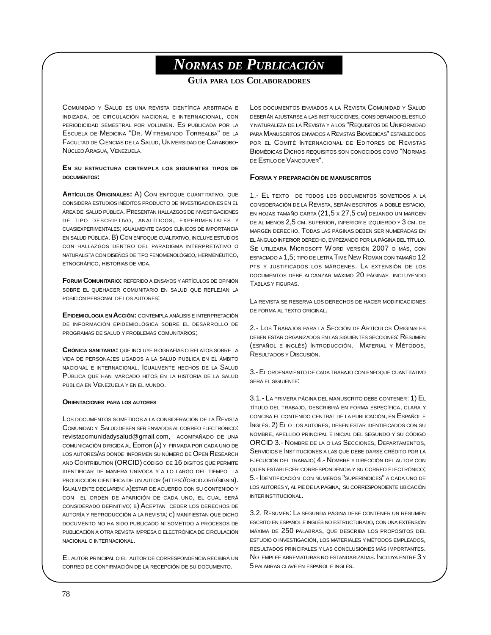# *NORMAS DE PUBLICACIÓN*

**GUÍA PARA LOS COLABORADORES**

COMUNIDAD Y SALUD ES UNA REVISTA CIENTÍFICA ARBITRADA E INDIZADA, DE CIRCULACIÓN NACIONAL E INTERNACIONAL, CON PERIODICIDAD SEMESTRAL POR VOLUMEN. ES PUBLICADA POR LA ESCUELA DE MEDICINA "DR. WITREMUNDO TORREALBA" DE LA FACULTAD DE CIENCIAS DE LA SALUD, UNIVERSIDAD DE CARABOBO-NÚCLEOARAGUA, VENEZUELA.

## **EN SU ESTRUCTURA CONTEMPLA LOS SIGUIENTES TIPOS DE DOCUMENTOS:**

**ARTÍCULOS ORIGINALES:** A) CON ENFOQUE CUANTITATIVO, QUE CONSIDERA ESTUDIOS INÉDITOS PRODUCTO DE INVESTIGACIONES EN EL ÁREA DE SALUD PÚBLICA. PRESENTAN HALLAZGOS DE INVESTIGACIONES DE TIPO DESCRIPTIVO, ANALÍTICOS, EXPERIMENTALES Y CUASIEXPERIMENTALES; IGUALMENTE CASOS CLÍNICOS DE IMPORTANCIA EN SALUD PÚBLICA. B) CON ENFOQUE CUALITATIVO, INCLUYE ESTUDIOS CON HALLAZGOS DENTRO DEL PARADIGMA INTERPRETATIVO O NATURALISTA CON DISEÑOS DE TIPO FENOMENOLÓGICO, HERMENÉUTICO, ETNOGRÁFICO, HISTORIAS DE VIDA.

**FORUM COMUNITARIO:** REFERIDO A ENSAYOS Y ARTÍCULOS DE OPINIÓN SOBRE EL QUEHACER COMUNITARIO EN SALUD QUE REFLEJAN LA POSICIÓN PERSONAL DE LOS AUTORES;

**EPIDEMIOLOGIA EN ACCIÓN:** CONTEMPLA ANÁLISIS E INTERPRETACIÓN DE INFORMACIÓN EPIDEMIOLÓGICA SOBRE EL DESARROLLO DE PROGRAMAS DE SALUD Y PROBLEMAS COMUNITARIOS;

**CRÓNICA SANITARIA:** QUE INCLUYE BIOGRAFÍAS O RELATOS SOBRE LA VIDA DE PERSONAJES LIGADOS A LA SALUD PUBLICA EN EL ÁMBITO NACIONAL E INTERNACIONAL. IGUALMENTE HECHOS DE LA SALUD PÚBLICA QUE HAN MARCADO HITOS EN LA HISTORIA DE LA SALUD PÚBLICA EN VENEZUELA Y EN EL MUNDO.

## **ORIENTACIONES PARA LOS AUTORES**

LOS DOCUMENTOS SOMETIDOS A LA CONSIDERACIÓN DE LA REVISTA COMUNIDAD Y SALUD DEBEN SER ENVIADOS AL CORREO ELECTRÓNICO: [revistacomunidadysalud@gmail.com](mailto:revistacomunidadysalud@gmail.com), ACOMPAÑADO DE UNA COMUNICACIÓN DIRIGIDA AL EDITOR (A) Y FIRMADA POR CADA UNO DE LOS AUTORES/AS DONDE INFORMEN SU NÚMERO DE OPEN RESEARCH AND CONTRIBUTION (ORCID) CÓDIGO DE 16 DIGITOS QUE PERMITE IDENTIFICAR DE MANERA UNIVOCA Y A LO LARGO DEL TIEMPO LA PRODUCCIÓN CIENTÍFICA DE UN AUTOR (HTTPS://ORCID.ORG/SIGNIN). IGUALMENTE DECLAREN: A)ESTAR DE ACUERDO CON SU CONTENIDO Y CON EL ORDEN DE APARICIÓN DE CADA UNO, EL CUAL SERÁ CONSIDERADO DEFINITIVO; B) ACEPTAN CEDER LOS DERECHOS DE AUTORÍA Y REPRODUCCIÓN A LA REVISTA; C) MANIFIESTAN QUE DICHO DOCUMENTO NO HA SIDO PUBLICADO NI SOMETIDO A PROCESOS DE PUBLICACIÓN A OTRA REVISTA IMPRESA O ELECTRÓNICA DE CIRCULACIÓN NACIONAL O INTERNACIONAL.

EL AUTOR PRINCIPAL O EL AUTOR DE CORRESPONDENCIA RECIBIRÁ UN CORREO DE CONFIRMACIÓN DE LA RECEPCIÓN DE SU DOCUMENTO.

LOS DOCUMENTOS ENVIADOS A LA REVISTA COMUNIDAD Y SALUD DEBERÁN AJUSTARSE A LAS INSTRUCCIONES, CONSIDERANDO EL ESTILO Y NATURALEZA DE LA REVISTA Y A LOS "REQUISITOS DE UNIFORMIDAD PARA MANUSCRITOS ENVIADOS A REVISTAS BIOMEDICAS" ESTABLECIDOS POR EL COMITÉ INTERNACIONAL DE EDITORES DE REVISTAS BIOMÉDICAS DICHOS REQUISITOS SON CONOCIDOS COMO "NORMAS DE ESTILO DE VANCOUVER".

## **FORMA <sup>Y</sup> PREPARACIÓN DE MANUSCRITOS**

1.- EL TEXTO DE TODOS LOS DOCUMENTOS SOMETIDOS A LA CONSIDERACIÓN DE LA REVISTA, SERÁN ESCRITOS A DOBLE ESPACIO, EN HOJAS TAMAÑO CARTA (21,5 X 27,5 CM) DEJANDO UN MARGEN DE AL MENOS 2,5 CM. SUPERIOR, INFERIOR E IZQUIERDO Y 3 CM. DE MARGEN DERECHO. TODAS LAS PÁGINAS DEBEN SER NUMERADAS EN EL ÁNGULO INFERIOR DERECHO, EMPEZANDO POR LA PÁGINA DEL TÍTULO. SE UTILIZARA MICROSOFT WORD VERSIÓN 2007 O MÁS, CON ESPACIADO A 1,5; TIPO DE LETRA TIME NEW ROMAN CON TAMAÑO 12 PTS Y JUSTIFICADOS LOS MÁRGENES. LA EXTENSIÓN DE LOS DOCUMENTOS DEBE ALCANZAR MÁXIMO 20 PÁGINAS INCLUYENDO TABLAS Y FIGURAS.

LA REVISTA SE RESERVA LOS DERECHOS DE HACER MODIFICACIONES DE FORMA AL TEXTO ORIGINAL.

2.- LOS TRABAJOS PARA LA SECCIÓN DE ARTÍCULOS ORIGINALES DEBEN ESTAR ORGANIZADOS EN LAS SIGUIENTES SECCIONES: RESUMEN (ESPAÑOL E INGLÉS) INTRODUCCIÓN, MATERIAL Y MÉTODOS, RESULTADOS Y DISCUSIÓN.

3.- EL ORDENAMIENTO DE CADA TRABAJO CON ENFOQUE CUANTITATIVO SERÁ EL SIGUIENTE:

3.1.- LA PRIMERA PÁGINA DEL MANUSCRITO DEBE CONTENER: 1) EL TÍTULO DEL TRABAJO, DESCRIBIRÁ EN FORMA ESPECÍFICA, CLARA Y CONCISA EL CONTENIDO CENTRAL DE LA PUBLICACIÓN, EN ESPAÑOL E INGLÉS. 2) EL O LOS AUTORES, DEBEN ESTAR IDENTIFICADOS CON SU NOMBRE, APELLIDO PRINCIPAL E INICIAL DEL SEGUNDO Y SU CÓDIGO ORCID 3.- NOMBRE DE LA O LAS SECCIONES, DEPARTAMENTOS, SERVICIOS E INSTITUCIONES A LAS QUE DEBE DARSE CRÉDITO POR LA EJECUCIÓN DEL TRABAJO; 4.- NOMBRE Y DIRECCIÓN DEL AUTOR CON QUIEN ESTABLECER CORRESPONDENCIA Y SU CORREO ELECTRÓNICO; 5.- IDENTIFICACIÓN CON NÚMEROS "SUPERÍNDICES" A CADA UNO DE LOS AUTORES Y, AL PIE DE LA PÁGINA, SU CORRESPONDIENTE UBICACIÓN INTERINSTITUCIONAL.

3.2. RESUMEN: LA SEGUNDA PÁGINA DEBE CONTENER UN RESUMEN ESCRITO EN ESPAÑOL E INGLÉS NO ESTRUCTURADO, CON UNA EXTENSIÓN MÁXIMA DE 250 PALABRAS, QUE DESCRIBA LOS PROPÓSITOS DEL ESTUDIO O INVESTIGACIÓN, LOS MATERIALES Y MÉTODOS EMPLEADOS, RESULTADOS PRINCIPALES Y LAS CONCLUSIONES MÁS IMPORTANTES. NO EMPLEE ABREVIATURAS NO ESTANDARIZADAS. INCLUYA ENTRE 3 Y 5 PALABRAS CLAVE EN ESPAÑOL E INGLÉS.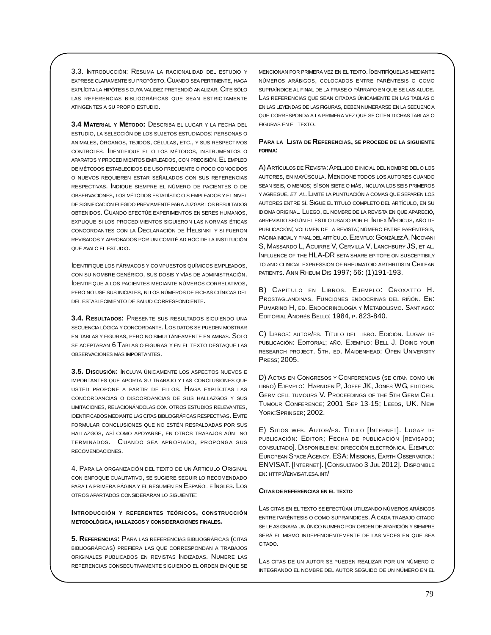3.3. INTRODUCCIÓN: RESUMA LA RACIONALIDAD DEL ESTUDIO Y EXPRESE CLARAMENTE SU PROPÓSITO. CUANDO SEA PERTINENTE, HAGA EXPLÍCITA LA HIPÓTESIS CUYA VALIDEZ PRETENDIÓ ANALIZAR. CITE SÓLO LAS REFERENCIAS BIBLIOGRÁFICAS QUE SEAN ESTRICTAMENTE ATINGENTES A SU PROPIO ESTUDIO.

3.4 MATERIAL Y MÉTODO: DESCRIBA EL LUGAR Y LA FECHA DEL ESTUDIO, LA SELECCIÓN DE LOS SUJETOS ESTUDIADOS: PERSONAS O ANIMALES, ÓRGANOS, TEJIDOS, CÉLULAS, ETC., Y SUS RESPECTIVOS CONTROLES. IDENTIFIQUE EL O LOS MÉTODOS, INSTRUMENTOS O APARATOS Y PROCEDIMIENTOS EMPLEADOS, CON PRECISIÓN. EL EMPLEO DE MÉTODOS ESTABLECIDOS DE USO FRECUENTE O POCO CONOCIDOS O NUEVOS REQUIEREN ESTAR SEÑALADOS CON SUS REFERENCIAS RESPECTIVAS. INDIQUE SIEMPRE EL NÚMERO DE PACIENTES O DE OBSERVACIONES, LOS MÉTODOS ESTADÍSTIC O S EMPLEADOS Y EL NIVEL DE SIGNIFICACIÓN ELEGIDO PREVIAMENTE PARA JUZGAR LOS RESULTADOS ORTENIDOS CLIANDO EFECTÚE EXPERIMENTOS EN SERES HUMANOS EXPLIQUE SI LOS PROCEDIMIENTOS SIGUIERON LAS NORMAS ÉTICAS CONCORDANTES CON LA DECLARACIÓN DE HELSINKI Y SI FUERON REVISADOS Y APROBADOS POR UN COMITÉ AD HOC DE LA INSTITUCIÓN QUE AVALO EL ESTUDIO.

DENTIFIQUE LOS FÁRMAÇOS Y COMPUESTOS QUÍMICOS EMPLEADOS CON SU NOMBRE GENÉRICO, SUS DOSIS Y VÍAS DE ADMINISTRACIÓN. DENTIFIQUE A LOS PACIENTES MEDIANTE NÚMEROS CORRELATIVOS. PERO NO USE SUS INICIALES, NI LOS NÚMEROS DE FICHAS CLÍNICAS DEL DEL ESTABLECIMIENTO DE SALUD CORRESPONDIENTE.

3.4. RESULTADOS: PRESENTE SUS RESULTADOS SIGUIENDO UNA SECUENCIA LÓGICA Y CONCORDANTE. LOS DATOS SE PUEDEN MOSTRAR EN TABLAS Y FIGURAS, PERO NO SIMULTÁNEAMENTE EN AMBAS. SOLO SE ACEPTARAN 6 TABLAS O FIGURAS Y EN EL TEXTO DESTAQUE LAS OBSERVACIONES MÁS IMPORTANTES

3.5. DISCUSIÓN: INCLUYA ÚNICAMENTE LOS ASPECTOS NUEVOS E IMPORTANTES QUE APORTA SU TRABAJO Y LAS CONCLUSIONES QUE USTED PROPONE A PARTIR DE ELLOS. HAGA EXPLÍCITAS LAS CONCORDANCIAS O DISCORDANCIAS DE SUS HALLAZGOS Y SUS LIMITACIONES, RELACIONÁNDOLAS CON OTROS ESTUDIOS RELEVANTES, **IDENTIFICADOS MEDIANTE LAS CITAS BIBLIOGRÁFICAS RESPECTIVAS. EVITE** FORMULAR CONCLUSIONES QUE NO ESTÉN RESPALDADAS POR SUS HALLAZGOS, ASÍ COMO APOYARSE, EN OTROS TRABAJOS AÚN NO TERMINADOS. CUANDO SEA APROPIADO, PROPONGA SUS RECOMENDACIONES.

4. PARA LA ORGANIZACIÓN DEL TEXTO DE UN ARTICULO ORIGINAL CON ENFOQUE CUALITATIVO, SE SUGIERE SEGUIR LO RECOMENDADO PARA LA PRIMERA PÁGINA Y EL RESUMEN EN ESPAÑOL E INGLES. LOS OTROS APARTADOS CONSIDERARAN LO SIGUIENTE.

## INTRODUCCIÓN Y REFERENTES TEÓRICOS, CONSTRUCCIÓN METODOLÓGICA, HALLAZGOS Y CONSIDERACIONES FINALES.

5. REFERENCIAS: PARA LAS REFERENCIAS BIBLIOGRÁFICAS (CITAS BIBLIOGRÁFICAS) PREFIERA LAS QUE CORRESPONDAN A TRABAJOS ORIGINALES PUBLICADOS EN REVISTAS INDIZADAS. NUMERE LAS REFERENCIAS CONSECUTIVAMENTE SIGUIENDO EL ORDEN EN QUE SE

MENCIONAN POR PRIMERA VEZ EN EL TEXTO. DENTIFÍQUELAS MEDIANTE NÚMEROS ARÁBIGOS, COLOCADOS ENTRE PARÉNTESIS O COMO SUPRAÍNDICE AL FINAL DE LA FRASE O PÁRRAFO EN QUE SE LAS ALUDE. LAS REFERENCIAS QUE SEAN CITADAS ÚNICAMENTE EN LAS TABLAS O EN LAS LEYENDAS DE LAS FIGURAS. DEBEN NUMERARSE EN LA SECUENCIA QUE CORRESPONDA A LA PRIMERA VEZ QUE SE CITEN DICHAS TABLAS O FIGURAS EN EL TEXTO.

## PARA LA LISTA DE REFERENCIAS, SE PROCEDE DE LA SIGUIENTE FORMA:

A) ARTÍCULOS DE REVISTA: APELLIDO E INICIAL DEL NOMBRE DEL O LOS AUTORES, EN MAYÚSCULA. MENCIONE TODOS LOS AUTORES CUANDO SEAN SEIS, O MENOS, SÍ SON SIETE O MÁS, INCLUYA LOS SEIS PRIMEROS Y AGREGUE, ET AL. LIMITE LA PUNTUACIÓN A COMAS QUE SEPAREN LOS AUTORES ENTRE SÍ. SIGUE EL TITULO COMPLETO DEL ARTÍCULO, EN SU IDIOMA ORIGINAL. LUEGO, EL NOMBRE DE LA REVISTA EN QUE APARECIÓ, ABREVIADO SEGÚN EL ESTILO USADO POR EL INDEX MEDICUS, AÑO DE PUBLICACIÓN; VOLUMEN DE LA REVISTA; NÚMERO ENTRE PARÉNTESIS, PÁGINA INICIAL Y FINAL DEL ARTÍCULO. E JEMPLO: GONZÁLEZA, NICOVANI S, MASSARDO L, AGUIRRE V, CERVILLA V, LANCHBURY JS, ET AL. INFLUENCE OF THE HLA-DR BETA SHARE EPITOPE ON SUSCEPTIBILY TO AND CLINICAL EXPRESSION OF RHEUMATOID ARTHRITIS IN CHILEAN PATIENTS. ANN RHEUM DIS 1997; 56: (1)191-193.

B) CAPÍTULO EN LIBROS. EJEMPLO: CROXATTO H. PROSTAGLANDINAS. FUNCIONES ENDOCRINAS DEL RIÑÓN. EN: PUMARINO H, ED. ENDOCRINOLOGÍA Y METABOLISMO. SANTIAGO: EDITORIAL ANDRÉS BELLO; 1984, P. 823-840.

C) LIBROS: AUTOR/ES. TÍTULO DEL LIBRO. EDICIÓN. LUGAR DE PUBLICACIÓN: EDITORIAL; AÑO. EJEMPLO: BELL J. DOING YOUR RESEARCH PROJECT. 5TH. ED. MAIDENHEAD: OPEN UNIVERSITY PRESS; 2005.

D) ACTAS EN CONGRESOS Y CONFERENCIAS (SE CITAN COMO UN LIBRO) EJEMPLO: HARNDEN P, JOFFE JK, JONES WG, EDITORS. GERM CELL TUMOURS V. PROCEEDINGS OF THE 5TH GERM CELL TUMOUR CONFERENCE; 2001 SEP 13-15; LEEDS, UK. NEW YORK: SPRINGER; 2002.

E) SITIOS WEB, AUTOR/ES, TÍTULO INTERNETI, LUGAR DE PUBLICACIÓN: EDITOR; FECHA DE PUBLICACIÓN [REVISADO; CONSULTADO]. DISPONIBLE EN: DIRECCIÓN ELECTRÓNICA. EJEMPLO: EUROPEAN SPACE AGENCY. ESA: MISSIONS, EARTH OBSERVATION. ENVISAT. [INTERNET]. [CONSULTADO 3 JUL 2012]. DISPONIBLE EN: HTTP://ENVISAT.ESA.INT/

## CITAS DE REFERENCIAS EN EL TEXTO

LAS CITAS EN EL TEXTO SE EFECTÚAN UTILIZANDO NÚMEROS ARÁBIGOS ENTRE PARÉNTESIS O COMO SUPRAINDICES A CADA TRABAJO CITADO SE LE ASIGNARA UN ÚNICO NUMERO POR ORDEN DE APARICIÓN Y SIEMPRE SERÁ EL MISMO INDEPENDIENTEMENTE DE LAS VECES EN QUE SEA CITADO.

LAS CITAS DE UN AUTOR SE PUEDEN REALIZAR POR UN NÚMERO O INTEGRANDO EL NOMBRE DEL AUTOR SEGUIDO DE UN NÚMERO EN EL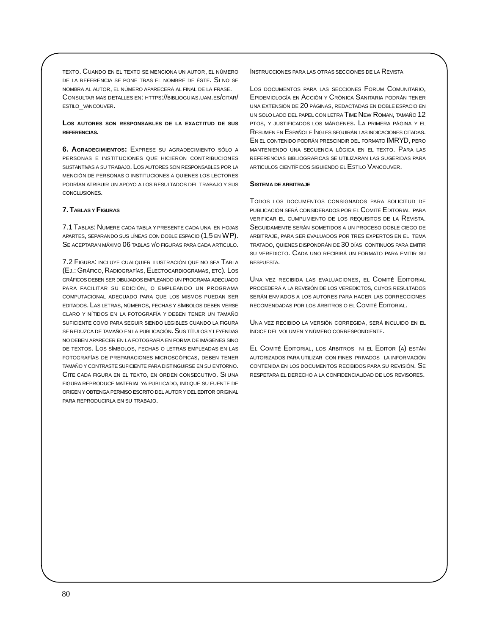TEXTO. CUANDO EN EL TEXTO SE MENCIONA UN AUTOR, EL NÚMERO DE LA REFERENCIA SE PONE TRAS EL NOMBRE DE ÉSTE. SI NO SE NOMBRA AL AUTOR, EL NÚMERO APARECERÁ AL FINAL DE LA FRASE. CONSULTAR MAS DETALLES EN: HTTPS://BIBLIOGUIAS.UAM.ES/CITAR/ ESTILO\_VANCOUVER.

## **LOS AUTORES SON RESPONSABLES DE LA EXACTITUD DE SUS REFERENCIAS.**

**6. AGRADECIMIENTOS:** EXPRESE SU AGRADECIMIENTO SÓLO A PERSONAS E INSTITUCIONES QUE HICIERON CONTRIBUCIONES SUSTANTIVAS A SU TRABAJO. LOS AUTORES SON RESPONSABLES POR LA MENCIÓN DE PERSONAS O INSTITUCIONES A QUIENES LOS LECTORES PODRÍAN ATRIBUIR UN APOYO A LOS RESULTADOS DEL TRABAJO Y SUS CONCLUSIONES.

## **7. TABLAS Y FIGURAS**

7.1 TABLAS: NUMERE CADA TABLA Y PRESENTE CADA UNA EN HOJAS APARTES, SEPARANDO SUS LÍNEAS CON DOBLE ESPACIO (1,5 EN WP). SE ACEPTARAN MÁXIMO 06 TABLAS Y/O FIGURAS PARA CADA ARTICULO.

7.2 FIGURA: INCLUYE CUALQUIER ILUSTRACIÓN QUE NO SEA TABLA (EJ.: GRÁFICO, RADIOGRAFÍAS, ELECTOCARDIOGRAMAS, ETC). LOS GRÁFICOS DEBEN SER DIBUJADOS EMPLEANDO UN PROGRAMA ADECUADO PARA FACILITAR SU EDICIÓN, O EMPLEANDO UN PROGRAMA COMPUTACIONAL ADECUADO PARA QUE LOS MISMOS PUEDAN SER EDITADOS. LAS LETRAS, NÚMEROS, FECHAS Y SÍMBOLOS DEBEN VERSE CLARO Y NÍTIDOS EN LA FOTOGRAFÍA Y DEBEN TENER UN TAMAÑO SUFICIENTE COMO PARA SEGUIR SIENDO LEGIBLES CUANDO LA FIGURA SE REDUZCA DE TAMAÑO EN LA PUBLICACIÓN. SUS TÍTULOS Y LEYENDAS NO DEBEN APARECER EN LA FOTOGRAFÍA EN FORMA DE IMÁGENES SINO DE TEXTOS. LOS SÍMBOLOS, FECHAS O LETRAS EMPLEADAS EN LAS FOTOGRAFÍAS DE PREPARACIONES MICROSCÓPICAS, DEBEN TENER TAMAÑO Y CONTRASTE SUFICIENTE PARA DISTINGUIRSE EN SU ENTORNO. CITE CADA FIGURA EN EL TEXTO, EN ORDEN CONSECUTIVO. SI UNA FIGURA REPRODUCE MATERIAL YA PUBLICADO, INDIQUE SU FUENTE DE ORIGEN Y OBTENGA PERMISO ESCRITO DEL AUTOR Y DEL EDITOR ORIGINAL PARA REPRODUCIRLA EN SU TRABAJO.

INSTRUCCIONES PARA LAS OTRAS SECCIONES DE LA REVISTA

LOS DOCUMENTOS PARA LAS SECCIONES FORUM COMUNITARIO, EPIDEMIOLOGÍA EN ACCIÓN Y CRÓNICA SANITARIA PODRÁN TENER UNA EXTENSIÓN DE 20 PÁGINAS, REDACTADAS EN DOBLE ESPACIO EN UN SOLO LADO DEL PAPEL CON LETRA TIME NEW ROMAN, TAMAÑO 12 PTOS, Y JUSTIFICADOS LOS MÁRGENES. LA PRIMERA PÁGINA Y EL RESUMEN EN ESPAÑOL E INGLES SEGUIRÁN LAS INDICACIONES CITADAS. EN EL CONTENIDO PODRÁN PRESCINDIR DEL FORMATO IMRYD, PERO MANTENIENDO UNA SECUENCIA LÓGICA EN EL TEXTO. PARA LAS REFERENCIAS BIBLIOGRAFICAS SE UTILIZARAN LAS SUGERIDAS PARA ARTICULOS CIENTÍFICOS SIGUIENDO EL ESTILO VANCOUVER.

## **SISTEMA DE ARBITRAJE**

TODOS LOS DOCUMENTOS CONSIGNADOS PARA SOLICITUD DE PUBLICACIÓN SERÁ CONSIDERADOS POR EL COMITÉ EDITORIAL PARA VERIFICAR EL CUMPLIMIENTO DE LOS REQUISITOS DE LA REVISTA. SEGUIDAMENTE SERÁN SOMETIDOS A UN PROCESO DOBLE CIEGO DE ARBITRAJE, PARA SER EVALUADOS POR TRES EXPERTOS EN EL TEMA TRATADO, QUIENES DISPONDRÁN DE 30 DÍAS CONTINUOS PARA EMITIR SU VEREDICTO. CADA UNO RECIBIRÁ UN FORMATO PARA EMITIR SU RESPUESTA.

UNA VEZ RECIBIDA LAS EVALUACIONES, EL COMITÉ EDITORIAL PROCEDERÁ A LA REVISIÓN DE LOS VEREDICTOS, CUYOS RESULTADOS SERÁN ENVIADOS A LOS AUTORES PARA HACER LAS CORRECCIONES RECOMENDADAS POR LOS ÁRBITROS O EL COMITÉ EDITORIAL.

UNA VEZ RECIBIDO LA VERSIÓN CORREGIDA, SERÁ INCLUIDO EN EL ÍNDICE DEL VOLUMEN Y NÚMERO CORRESPONDIENTE.

EL COMITÉ EDITORIAL, LOS ÁRBITROS NI EL EDITOR (A) ESTÁN AUTORIZADOS PARA UTILIZAR CON FINES PRIVADOS LA INFORMACIÓN CONTENIDA EN LOS DOCUMENTOS RECIBIDOS PARA SU REVISIÓN. SE RESPETARA EL DERECHO A LA CONFIDENCIALIDAD DE LOS REVISORES.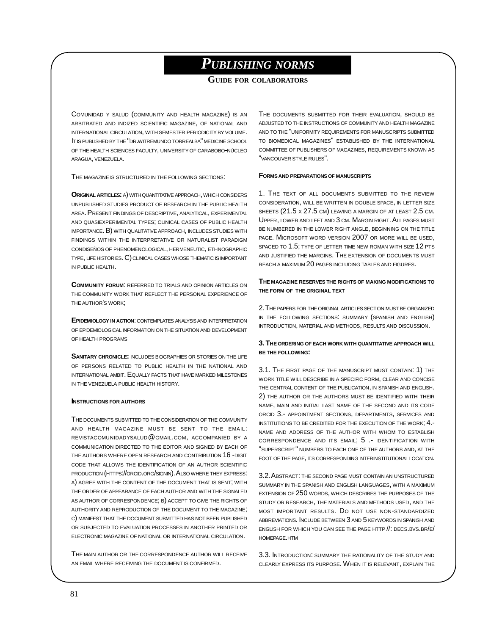## *PUBLISHING NORMS*

## **GUIDE FOR COLABORATORS**

COMUNIDAD Y SALUD (COMMUNITY AND HEALTH MAGAZINE) IS AN ARBITRATED AND INDIZED SCIENTIFIC MAGAZINE, OF NATIONAL AND INTERNATIONAL CIRCULATION, WITH SEMESTER PERIODICITY BY VOLUME. IT IS PUBLISHED BY THE "DR.WITREMUNDO TORREALBA" MEDICINE SCHOOL OF THE HEALTH SCIENCES FACULTY, UNIVERSITY OF CARABOBO-NÚCLEO ARAGUA, VENEZUELA.

THE MAGAZINE IS STRUCTURED IN THE FOLLOWING SECTIONS:

**ORIGINAL ARTICLES:** A) WITH QUANTITATIVE APPROACH, WHICH CONSIDERS UNPUBLISHED STUDIES PRODUCT OF RESEARCH IN THE PUBLIC HEALTH AREA. PRESENT FINDINGS OF DESCRIPTIVE, ANALYTICAL, EXPERIMENTAL AND QUASIEXPERIMENTAL TYPES; CLINICAL CASES OF PUBLIC HEALTH IMPORTANCE. B) WITH QUALITATIVE APPROACH, INCLUDES STUDIES WITH FINDINGS WITHIN THE INTERPRETATIVE OR NATURALIST PARADIGM CONDISEÑOS OF PHENOMENOLOGICAL, HERMENEUTIC, ETHNOGRAPHIC TYPE, LIFE HISTORIES. C) CLINICAL CASES WHOSE THEMATIC IS IMPORTANT IN PUBLIC HEALTH.

**COMMUNITY FORUM**: REFERRED TO TRIALS AND OPINION ARTICLES ON THE COMMUNITY WORK THAT REFLECT THE PERSONAL EXPERIENCE OF THE AUTHOR'S WORK;

**EPIDEMIOLOGY IN ACTION**: CONTEMPLATES ANALYSISAND INTERPRETATION OF EPIDEMIOLOGICAL INFORMATION ON THE SITUATION AND DEVELOPMENT OF HEALTH PROGRAMS

**SANITARY CHRONICLE:** INCLUDES BIOGRAPHIES OR STORIES ON THE LIFE OF PERSONS RELATED TO PUBLIC HEALTH IN THE NATIONAL AND INTERNATIONAL AMBIT. EQUALLY FACTS THAT HAVE MARKED MILESTONES IN THE VENEZUELA PUBLIC HEALTH HISTORY.

## **INSTRUCTIONS FOR AUTHORS**

THE DOCUMENTS SUBMITTED TO THECONSIDERATION OF THE COMMUNITY AND HEALTH MAGAZINE MUST BE SENT TO THE EMAIL: REVISTACOMUNIDADYSALUD@GMAIL.COM, ACCOMPANIED BY A COMMUNICATION DIRECTED TO THE EDITOR AND SIGNED BY EACH OF THE AUTHORS WHERE OPEN RESEARCH AND CONTRIBUTION 16 -DIGIT CODE THAT ALLOWS THE IDENTIFICATION OF AN AUTHOR SCIENTIFIC PRODUCTION (HTTPS://ORCID.ORG/SIGNIN). ALSO WHERE THEY EXPRESS: A) AGREE WITH THE CONTENT OF THE DOCUMENT THAT IS SENT; WITH THE ORDER OF APPEARANCE OF EACH AUTHOR AND WITH THE SIGNALED AS AUTHOR OF CORRESPONDENCE; B) ACCEPT TO GIVE THE RIGHTS OF AUTHORITY AND REPRODUCTION OF THE DOCUMENT TO THE MAGAZINE; C) MANIFEST THAT THE DOCUMENT SUBMITTED HAS NOT BEEN PUBLISHED OR SUBJECTED TO EVALUATION PROCESSES IN ANOTHER PRINTED OR ELECTRONIC MAGAZINE OF NATIONAL OR INTERNATIONAL CIRCULATION.

THE MAIN AUTHOR OR THE CORRESPONDENCE AUTHOR WILL RECEIVE AN EMAIL WHERE RECEIVING THE DOCUMENT IS CONFIRMED.

THE DOCUMENTS SUBMITTED FOR THEIR EVALUATION, SHOULD BE ADJUSTED TO THE INSTRUCTIONS OF COMMUNITY AND HEALTH MAGAZINE AND TO THE "UNIFORMITY REQUIREMENTS FOR MANUSCRIPTS SUBMITTED TO BIOMEDICAL MAGAZINES" ESTABLISHED BY THE INTERNATIONAL COMMITTEE OF PUBLISHERS OF MAGAZINES, REQUIREMENTS KNOWN AS "VANCOUVER STYLE RULES".

## **FORMSAND PREPARATIONSOF MANUSCRIPTS**

1. THE TEXT OF ALL DOCUMENTS SUBMITTED TO THE REVIEW CONSIDERATION, WILL BE WRITTEN IN DOUBLE SPACE, IN LETTER SIZE SHEETS (21.5 x 27.5 CM) LEAVING A MARGIN OF AT LEAST 2.5 CM. UPPER, LOWER AND LEFT AND 3 CM. MARGIN RIGHT. ALL PAGES MUST BE NUMBERED IN THE LOWER RIGHT ANGLE, BEGINNING ON THE TITLE PAGE. MICROSOFT WORD VERSION 2007 OR MORE WILL BE USED, SPACED TO 1.5; TYPE OF LETTER TIME NEW ROMAN WITH SIZE 12 PTS AND JUSTIFIED THE MARGINS. THE EXTENSION OF DOCUMENTS MUST REACH A MAXIMUM 20 PAGES INCLUDING TABLES AND FIGURES.

## **THE MAGAZINE RESERVES THE RIGHTS OF MAKING MODIFICATIONS TO THE FORM OF THE ORIGINAL TEXT**

2. THE PAPERS FOR THE ORIGINAL ARTICLES SECTION MUST BE ORGANIZED IN THE FOLLOWING SECTIONS: SUMMARY (SPANISH AND ENGLISH) INTRODUCTION, MATERIAL AND METHODS, RESULTS AND DISCUSSION.

## **3. THE ORDERING OF EACH WORK WITH QUANTITATIVE APPROACH WILL BE THE FOLLOWING:**

3.1. THE FIRST PAGE OF THE MANUSCRIPT MUST CONTAIN: 1) THE WORK TITLE WILL DESCRIBE IN A SPECIFIC FORM, CLEAR AND CONCISE THE CENTRAL CONTENT OF THE PUBLICATION, IN SPANISH AND ENGLISH. 2) THE AUTHOR OR THE AUTHORS MUST BE IDENTIFIED WITH THEIR NAME, MAIN AND INITIAL LAST NAME OF THE SECOND AND ITS CODE ORCID 3.- APPOINTMENT SECTIONS, DEPARTMENTS, SERVICES AND INSTITUTIONS TO BE CREDITED FOR THE EXECUTION OF THE WORK; 4.- NAME AND ADDRESS OF THE AUTHOR WITH WHOM TO ESTABLISH CORRESPONDENCE AND ITS EMAIL; 5 .- IDENTIFICATION WITH "SUPERSCRIPT" NUMBERS TO EACH ONE OF THE AUTHORS AND, AT THE FOOT OF THE PAGE, ITS CORRESPONDING INTERINSTITUTIONAL LOCATION.

3.2. ABSTRACT: THE SECOND PAGE MUST CONTAIN AN UNSTRUCTURED SUMMARY IN THE SPANISH AND ENGLISH LANGUAGES, WITH A MAXIMUM EXTENSION OF 250 WORDS, WHICH DESCRIBES THE PURPOSES OF THE STUDY OR RESEARCH, THE MATERIALS AND METHODS USED, AND THE MOST IMPORTANT RESULTS. DO NOT USE NON-STANDARDIZED ABBREVIATIONS. INCLUDE BETWEEN 3 AND 5 KEYWORDS IN SPANISH AND ENGLISH FOR WHICH YOU CAN SEE THE PAGE HTTP //: DECS.BVS.BR/E/ HOMEPAGE.HTM

3.3. INTRODUCTION: SUMMARY THE RATIONALITY OF THE STUDY AND CLEARLY EXPRESS ITS PURPOSE. WHEN IT IS RELEVANT, EXPLAIN THE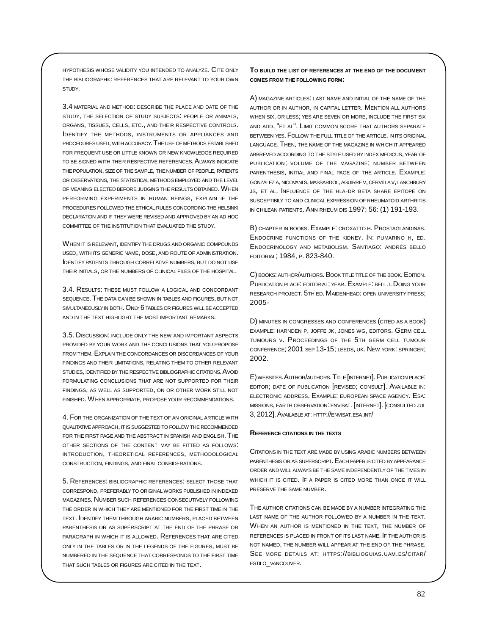HYPOTHESIS WHOSE VALIDITY YOU INTENDED TO ANALYZE. CITE ONLY THE BIBLIOGRAPHIC REFERENCES THAT ARE RELEVANT TO YOUR OWN STUDY.

3.4 MATERIAL AND METHOD: DESCRIBE THE PLACE AND DATE OF THE STUDY, THE SELECTION OF STUDY SUBJECTS: PEOPLE OR ANIMALS, ORGANS, TISSUES, CELLS, ETC., AND THEIR RESPECTIVE CONTROLS. IDENTIFY THE METHODS, INSTRUMENTS OR APPLIANCES AND PROCEDURES USED, WITH ACCURACY. THE USE OF METHODS ESTABLISHED FOR FREQUENT USE OR LITTLE KNOWN OR NEW KNOWLEDGE REQUIRED TO BE SIGNED WITH THEIR RESPECTIVE REFERENCES. ALWAYS INDICATE THE POPULATION, SIZE OF THE SAMPLE, THE NUMBER OF PEOPLE, PATIENTS OR OBSERVATIONS, THE STATISTICAL METHODS EMPLOYED AND THE LEVEL OF MEANING ELECTED BEFORE JUDGING THE RESULTS OBTAINED. WHEN PERFORMING EXPERIMENTS IN HUMAN BEINGS, EXPLAIN IF THE PROCEDURES FOLLOWED THE ETHICAL RULES CONCORDING THE HELSINKI DECLARATION AND IF THEY WERE REVISED AND APPROVED BY AN AD HOC COMMITTEE OF THE INSTITUTION THAT EVALUATED THE STUDY.

WHEN IT IS RELEVANT, IDENTIFY THE DRUGS AND ORGANIC COMPOUNDS USED, WITH ITS GENERIC NAME, DOSE, AND ROUTE OF ADMINISTRATION. IDENTIFY PATIENTS THROUGH CORRELATIVE NUMBERS, BUT DO NOT USE THEIR INITIALS, OR THE NUMBERS OF CLINICAL FILES OF THE HOSPITAL.

3.4. RESULTS: THESE MUST FOLLOW A LOGICAL AND CONCORDANT SEQUENCE. THE DATA CAN BE SHOWN IN TABLES AND FIGURES, BUT NOT SIMULTANEOUSLY IN BOTH. ONLY 6 TABLES OR FIGURES WILL BE ACCEPTED AND IN THE TEXT HIGHLIGHT THE MOST IMPORTANT REMARKS.

3.5. DISCUSSION: INCLUDE ONLY THE NEW AND IMPORTANT ASPECTS PROVIDED BY YOUR WORK AND THE CONCLUSIONS THAT YOU PROPOSE FROM THEM. EXPLAIN THE CONCORDANCES OR DISCORDANCES OF YOUR FINDINGS AND THEIR LIMITATIONS, RELATING THEM TO OTHER RELEVANT STUDIES, IDENTIFIED BY THE RESPECTIVE BIBLIOGRAPHIC CITATIONS. AVOID FORMULATING CONCLUSIONS THAT ARE NOT SUPPORTED FOR THEIR FINDINGS, AS WELL AS SUPPORTED, ON OR OTHER WORK STILL NOT FINISHED. WHEN APPROPRIATE, PROPOSE YOUR RECOMMENDATIONS.

4. FOR THE ORGANIZATION OF THE TEXT OF AN ORIGINAL ARTICLE WITH QUALITATIVEAPPROACH, IT IS SUGGESTED TO FOLLOW THE RECOMMENDED FOR THE FIRST PAGE AND THE ABSTRACT IN SPANISH AND ENGLISH. THE OTHER SECTIONS OF THE CONTENT MAY BE FITTED AS FOLLOWS: INTRODUCTION, THEORETICAL REFERENCES, METHODOLOGICAL CONSTRUCTION, FINDINGS, AND FINAL CONSIDERATIONS.

5. REFERENCES: BIBLIOGRAPHIC REFERENCES: SELECT THOSE THAT CORRESPOND, PREFERABLY TO ORIGINAL WORKS PUBLISHED IN INDEXED MAGAZINES. NUMBER SUCH REFERENCES CONSECUTIVELY FOLLOWING THE ORDER IN WHICH THEY ARE MENTIONED FOR THE FIRST TIME IN THE TEXT. IDENTIFY THEM THROUGH ARABIC NUMBERS, PLACED BETWEEN PARENTHESIS OR AS SUPERSCRIPT AT THE END OF THE PHRASE OR PARAGRAPH IN WHICH IT IS ALLOWED. REFERENCES THAT ARE CITED ONLY IN THE TABLES OR IN THE LEGENDS OF THE FIGURES, MUST BE NUMBERED IN THE SEQUENCE THAT CORRESPONDS TO THE FIRST TIME THAT SUCH TABLES OR FIGURES ARE CITED IN THE TEXT.

**TO BUILD THE LIST OF REFERENCES AT THE END OF THE DOCUMENT COMES FROM THE FOLLOWING FORM:**

A) MAGAZINE ARTICLES: LAST NAME AND INITIAL OF THE NAME OF THE AUTHOR OR IN AUTHOR, IN CAPITAL LETTER. MENTION ALL AUTHORS WHEN SIX, OR LESS; YES ARE SEVEN OR MORE, INCLUDE THE FIRST SIX AND ADD, "ET AL". LIMIT COMMON SCORE THAT AUTHORS SEPARATE BETWEEN YES. FOLLOW THE FULL TITLE OF THE ARTICLE, IN ITS ORIGINAL LANGUAGE. THEN, THE NAME OF THE MAGAZINE IN WHICH IT APPEARED ABBREVED ACCORDING TO THE STYLE USED BY INDEX MEDICUS, YEAR OF PUBLICATION; VOLUME OF THE MAGAZINE; NUMBER BETWEEN PARENTHESIS, INITIAL AND FINAL PAGE OF THE ARTICLE. EXAMPLE: GONZÁLEZ A, NICOVANIS, MASSARDOL, AGUIRRE V, CERVILLA V, LANCHBURY JS, ET AL. INFLUENCE OF THE HLA-DR BETA SHARE EPITOPE ON SUSCEPTIBILY TO AND CLINICAL EXPRESSION OF RHEUMATOID ARTHRITIS IN CHILEAN PATIENTS. ANN RHEUM DIS 1997; 56: (1) 191-193.

B) CHAPTER IN BOOKS. EXAMPLE: CROXATTO H. PROSTAGLANDINAS. ENDOCRINE FUNCTIONS OF THE KIDNEY. IN: PUMARINO H, ED. ENDOCRINOLOGY AND METABOLISM. SANTIAGO: ANDRÉS BELLO EDITORIAL; 1984, P. 823-840.

C) BOOKS: AUTHOR/AUTHORS. BOOK TITLE TITLE OF THE BOOK. EDITION. PUBLICATION PLACE: EDITORIAL; YEAR. EXAMPLE: BELL J. DOING YOUR RESEARCH PROJECT. 5TH ED. MAIDENHEAD: OPEN UNIVERSITY PRESS; 2005-

D) MINUTES IN CONGRESSES AND CONFERENCES (CITED AS A BOOK) EXAMPLE: HARNDEN P, JOFFE JK, JONES WG, EDITORS. GERM CELL TUMOURS V. PROCEEDINGS OF THE 5TH GERM CELL TUMOUR CONFERENCE; 2001 SEP 13-15; LEEDS, UK. NEW YORK: SPRINGER; 2002.

E) WEBSITES. AUTHOR/AUTHORS. TITLE [INTERNET]. PUBLICATION PLACE: EDITOR; DATE OF PUBLICATION [REVISED; CONSULT]. AVAILABLE IN: ELECTRONIC ADDRESS. EXAMPLE: EUROPEAN SPACE AGENCY. ESA: MISSIONS, EARTH OBSERVATION: ENVISAT. [INTERNET]. [CONSULTED JUL 3, 2012]. AVAILABLE AT: HTTP://ENVISAT.ESA.INT/

## **REFERENCE CITATIONS IN THE TEXTS**

CITATIONS IN THE TEXT ARE MADE BY USING ARABIC NUMBERS BETWEEN PARENTHESIS OR AS SUPERSCRIPT. EACH PAPER IS CITED BY APPEARANCE ORDER AND WILL ALWAYS BE THE SAME INDEPENDENTLYOF THE TIMES IN WHICH IT IS CITED. IF A PAPER IS CITED MORE THAN ONCE IT WILL PRESERVE THE SAME NUMBER.

THE AUTHOR CITATIONS CAN BE MADE BY A NUMBER INTEGRATING THE LAST NAME OF THE AUTHOR FOLLOWED BY A NUMBER IN THE TEXT. WHEN AN AUTHOR IS MENTIONED IN THE TEXT, THE NUMBER OF REFERENCES IS PLACED IN FRONT OF ITS LAST NAME. IF THE AUTHOR IS NOT NAMED, THE NUMBER WILL APPEAR AT THE END OF THE PHRASE. SEE MORE DETAILS AT: HTTPS://BIBLIOGUIAS.UAM.ES/CITAR/ ESTILO VANCOUVER.